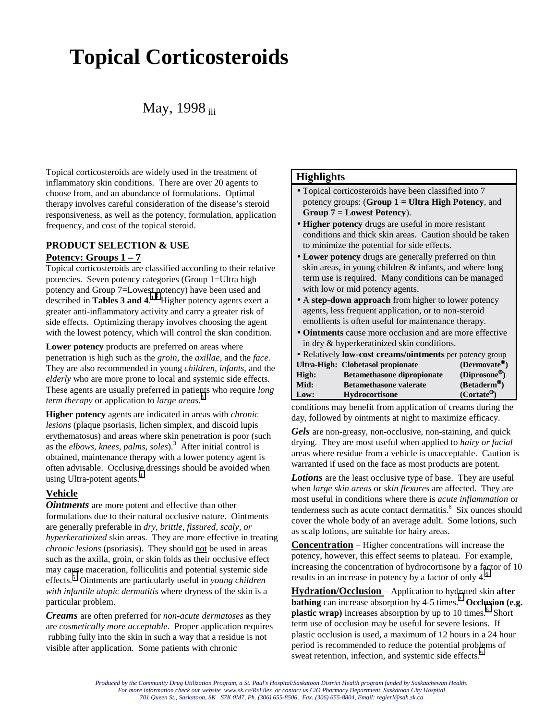# **Topical Corticosteroids**

# May, 1998 iii

Topical corticosteroids are widely used in the treatment of inflammatory skin conditions. There are over 20 agents to choose from, and an abundance of formulations. Optimal therapy involves careful consideration of the disease's steroid responsiveness, as well as the potency, formulation, application frequency, and cost of the topical steroid.

# **PRODUCT SELECTION & USE Potency: Groups 1 – 7**

Topical corticosteroids are classified according to their relative potencies. Seven potency categories (Group 1=Ultra high potency and Group 7=Lowest potency) have been used and described in **Tables 3 and 4.**<sup>1,2</sup> Higher potency agents exert a greater anti-inflammatory activity and carry a greater risk of side effects. Optimizing therapy involves choosing the agent with the lowest potency, which will control the skin condition.

**Lower potency** products are preferred on areas where penetration is high such as the *groin*, the *axillae*, and the *face*. They are also recommended in young *children*, *infants*, and the *elderly* who are more prone to local and systemic side effects. These agents are usually preferred in patients who require *long term therapy* or application to *large areas*. [3](#page-2-0)

**Higher potency** agents are indicated in areas with *chronic lesions* (plaque psoriasis, lichen simplex, and discoid lupis erythematosus) and areas where skin penetration is poor (such as the *elbows*, *knees*, *palms*, *soles*).<sup>3</sup> After initial control is obtained, maintenance therapy with a lower potency agent is often advisable. Occlusive dressings should be avoided when using Ultra-potent agents.<sup>[4](#page-2-0)</sup>

# **Vehicle**

*Ointments* are more potent and effective than other formulations due to their natural occlusive nature. Ointments are generally preferable in *dry, brittle, fissured, scaly, or hyperkeratinized* skin areas. They are more effective in treating *chronic lesions* (psoriasis). They should not be used in areas such as the axilla, groin, or skin folds as their occlusive effect may cause maceration, folliculitis and potential systemic side effects.[5](#page-2-0) Ointments are particularly useful in *young children with infantile atopic dermatitis* where dryness of the skin is a particular problem.

*Creams* are often preferred for *non-acute dermatoses* as they are *cosmetically more acceptable*. Proper application requires rubbing fully into the skin in such a way that a residue is not visible after application. Some patients with chronic

# **Highlights**

- Topical corticosteroids have been classified into 7 potency groups: (**Group 1 = Ultra High Potency**, and **Group 7 = Lowest Potency**).
- **Higher potency** drugs are useful in more resistant conditions and thick skin areas. Caution should be taken to minimize the potential for side effects.
- **Lower potency** drugs are generally preferred on thin skin areas, in young children & infants, and where long term use is required. Many conditions can be managed with low or mid potency agents.
- A **step-down approach** from higher to lower potency agents, less frequent application, or to non-steroid emollients is often useful for maintenance therapy.
- **Ointments** cause more occlusion and are more effective in dry & hyperkeratinized skin conditions.

| • Relatively <b>low-cost creams/ointments</b> per potency group |                                   |                           |  |
|-----------------------------------------------------------------|-----------------------------------|---------------------------|--|
|                                                                 | Ultra-High: Clobetasol propionate | (Dermovate <sup>®</sup> ) |  |
| High:                                                           | <b>Betamethasone dipropionate</b> | (Diprosone <sup>®</sup> ) |  |
| Mid:                                                            | <b>Betamethasone valerate</b>     | $(Betaderm^{\circledR})$  |  |
| Low:                                                            | <b>Hydrocortisone</b>             | (Cortate <sup>®</sup> )   |  |
|                                                                 |                                   |                           |  |

conditions may benefit from application of creams during the day, followed by ointments at night to maximize efficacy.

*Gels* are non-greasy, non-occlusive, non-staining, and quick drying. They are most useful when applied to *hairy or facial* areas where residue from a vehicle is unacceptable. Caution is warranted if used on the face as most products are potent.

*Lotions* are the least occlusive type of base. They are useful when *large skin areas* or *skin flexures* are affected. They are most useful in conditions where there is *acute inflammation* or tenderness such as acute contact dermatitis.<sup>8</sup> Six ounces should cover the whole body of an average adult. Some lotions, such as scalp lotions, are suitable for hairy areas.

**Concentration** – Higher concentrations will increase the potency, however, this effect seems to plateau. For example, increasing the concentration of hydrocortisone by a factor of 10 results in an increase in potency by a factor of only 4.<sup>[6](#page-2-0)</sup>

**Hydration/Occlusion** – Application to hy[dra](#page-2-0)ted skin **after bathing** can increase absorption by 4-5 times.<sup>7</sup> Occlusion (e.g. plastic wrap) increases absorption by up to 10 times.<sup>[8](#page-2-0)</sup> Short term use of occlusion may be useful for severe lesions. If plastic occlusion is used, a maximum of 12 hours in a 24 hour period is recommended to reduce the potential problems of sweat retention, infection, and systemic side effects.<sup>9</sup>

*Produced by the Community Drug Utilization Program, a St. Paul's Hospital/Saskatoon District Health program funded by Saskatchewan Health. For more information check our website www.sk.ca/RxFiles or contact us C/O Pharmacy Department, Saskatoon City Hospital 701 Queen St., Saskatoon, SK S7K 0M7, Ph. (306) 655-8506, Fax. (306) 655-8804, Email: regierl@sdh.sk.ca*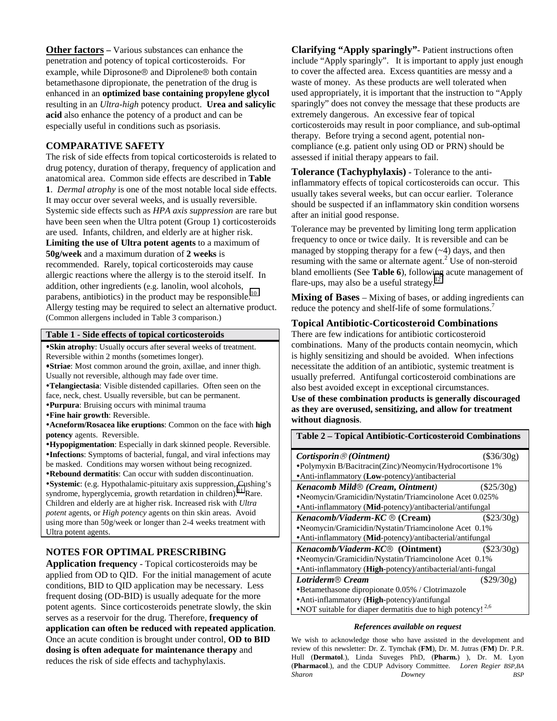**Other factors** – Various substances can enhance the penetration and potency of topical corticosteroids. For example, while Diprosone  $\circledR$  and Diprolene  $\circledR$  both contain betamethasone dipropionate, the penetration of the drug is enhanced in an **optimized base containing propylene glycol** resulting in an *Ultra-high* potency product. **Urea and salicylic acid** also enhance the potency of a product and can be especially useful in conditions such as psoriasis.

#### **COMPARATIVE SAFETY**

The risk of side effects from topical corticosteroids is related to drug potency, duration of therapy, frequency of application and anatomical area. Common side effects are described in **Table 1**. *Dermal atrophy* is one of the most notable local side effects. It may occur over several weeks, and is usually reversible. Systemic side effects such as *HPA axis suppression* are rare but have been seen when the Ultra potent (Group 1) corticosteroids are used. Infants, children, and elderly are at higher risk. **Limiting the use of Ultra potent agents** to a maximum of **50g/week** and a maximum duration of **2 weeks** is recommended. Rarely, topical corticosteroids may cause allergic reactions where the allergy is to the steroid itself. In addition, other ingredients (e.g. lanolin, wool alcohols, parabens, antibiotics) in the product may be responsible.<sup>[10](#page-2-0)</sup> Allergy testing may be required to select an alternative product. (Common allergens included in Table 3 comparison.)

#### **Table 1 - Side effects of topical corticosteroids**

**Skin atrophy**: Usually occurs after several weeks of treatment. Reversible within 2 months (sometimes longer).

**Striae**: Most common around the groin, axillae, and inner thigh. Usually not reversible, although may fade over time.

**Telangiectasia**: Visible distended capillaries. Often seen on the face, neck, chest. Usually reversible, but can be permanent.

**Purpura**: Bruising occurs with minimal trauma

**Fine hair growth**: Reversible.

**Acneform/Rosacea like eruptions**: Common on the face with **high potency** agents. Reversible.

**Hypopigmentation**: Especially in dark skinned people. Reversible. **Infections**: Symptoms of bacterial, fungal, and viral infections may be masked. Conditions may worsen without being recognized.

**Rebound dermatitis**: Can occur with sudden discontinuation. **Systemic**: (e.g. Hypothalamic-pituitary axis suppression, Cushing's syndrome, hyperglycemia, growth retardation in children).<sup>11</sup> Rare. Children and elderly are at higher risk. Increased risk with *Ultra potent* agents, or *High potency* agents on thin skin areas. Avoid using more than 50g/week or longer than 2-4 weeks treatment with Ultra potent agents.

## **NOTES FOR OPTIMAL PRESCRIBING**

**Application frequency** - Topical corticosteroids may be applied from OD to QID. For the initial management of acute conditions, BID to QID application may be necessary. Less frequent dosing (OD-BID) is usually adequate for the more potent agents. Since corticosteroids penetrate slowly, the skin serves as a reservoir for the drug. Therefore, **frequency of application can often be reduced with repeated application**. Once an acute condition is brought under control, **OD to BID dosing is often adequate for maintenance therapy** and reduces the risk of side effects and tachyphylaxis.

**Clarifying "Apply sparingly"-** Patient instructions often include "Apply sparingly". It is important to apply just enough to cover the affected area. Excess quantities are messy and a waste of money. As these products are well tolerated when used appropriately, it is important that the instruction to "Apply sparingly" does not convey the message that these products are extremely dangerous. An excessive fear of topical corticosteroids may result in poor compliance, and sub-optimal therapy. Before trying a second agent, potential noncompliance (e.g. patient only using OD or PRN) should be assessed if initial therapy appears to fail.

**Tolerance (Tachyphylaxis) -** Tolerance to the antiinflammatory effects of topical corticosteroids can occur. This usually takes several weeks, but can occur earlier. Tolerance should be suspected if an inflammatory skin condition worsens after an initial good response.

Tolerance may be prevented by limiting long term application frequency to once or twice daily. It is reversible and can be managed by stopping therapy for a few  $(-4)$  days, and then resuming with the same or alternate agent. $2$  Use of non-steroid bland emollients (See **Table 6**), following acute management of flare-ups, may also be a useful strategy.<sup>[12](#page-2-0)</sup>

**Mixing of Bases** – Mixing of bases, or adding ingredients can reduce the potency and shelf-life of some formulations.<sup>7</sup>

## **Topical Antibiotic-Corticosteroid Combinations**

There are few indications for antibiotic corticosteroid combinations. Many of the products contain neomycin, which is highly sensitizing and should be avoided. When infections necessitate the addition of an antibiotic, systemic treatment is usually preferred. Antifungal corticosteroid combinations are also best avoided except in exceptional circumstances.

**Use of these combination products is generally discouraged as they are overused, sensitizing, and allow for treatment without diagnosis**.

**Table 2 – Topical Antibiotic-Corticosteroid Combinations**

| Cortisporin $\mathcal{O}(Ointment)$                                   | $(\$36/30g)$ |  |  |
|-----------------------------------------------------------------------|--------------|--|--|
| •Polymyxin B/Bacitracin(Zinc)/Neomycin/Hydrocortisone 1%              |              |  |  |
| • Anti-inflammatory (Low-potency)/antibacterial                       |              |  |  |
| <b>Kenacomb Mild® (Cream, Ointment)</b>                               | (S25/30g)    |  |  |
| •Neomycin/Gramicidin/Nystatin/Triamcinolone Acet 0.025%               |              |  |  |
| • Anti-inflammatory (Mid-potency)/antibacterial/antifungal            |              |  |  |
| Kenacomb/Viaderm-KC ® (Cream)                                         | $(\$23/30g)$ |  |  |
| •Neomycin/Gramicidin/Nystatin/Triamcinolone Acet 0.1%                 |              |  |  |
| • Anti-inflammatory (Mid-potency)/antibacterial/antifungal            |              |  |  |
| <i>Kenacomb/Viaderm-KC® (Ointment)</i>                                | $(\$23/30g)$ |  |  |
| •Neomycin/Gramicidin/Nystatin/Triamcinolone Acet 0.1%                 |              |  |  |
| • Anti-inflammatory ( <b>High</b> -potency)/antibacterial/anti-fungal |              |  |  |
| Lotriderm <sup>®</sup> Cream                                          | $(\$29/30g)$ |  |  |
| •Betamethasone dipropionate 0.05% / Clotrimazole                      |              |  |  |
| • Anti-inflammatory ( <b>High</b> -potency)/antifungal                |              |  |  |
| • NOT suitable for diaper dermatitis due to high potency! $2.6$       |              |  |  |

#### *References available on request*

We wish to acknowledge those who have assisted in the development and review of this newsletter: Dr. Z. Tymchak (**FM**), Dr. M. Jutras (**FM**) Dr. P.R. Hull (**Dermatol**.), Linda Suveges PhD, (**Pharm.**) ), Dr. M. Lyon (**Pharmacol**.), and the CDUP Advisory Committee. *Loren Regier BSP,BA Sharon Downey BSP*